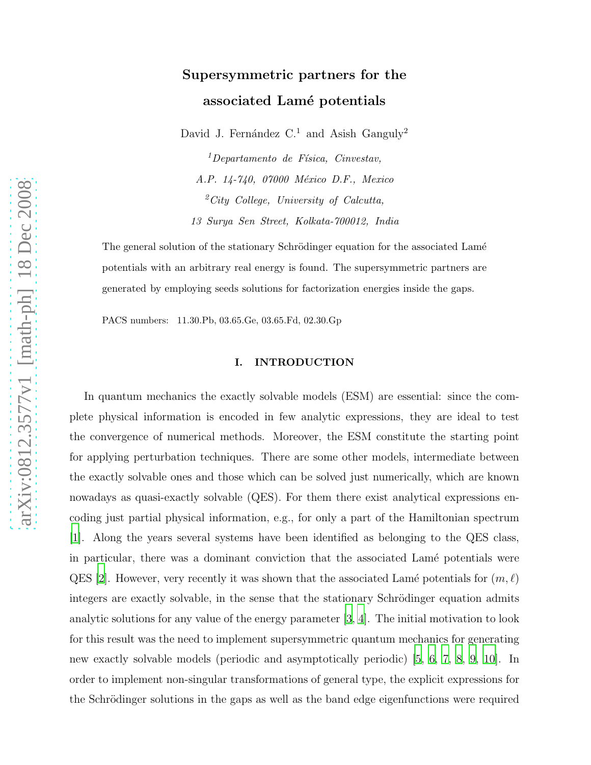# Supersymmetric partners for the associated Lamé potentials

David J. Fernández  $C<sup>1</sup>$  and Asish Ganguly<sup>2</sup>

 $1$ Departamento de Física, Cinvestav, A.P. 14-740, 07000 México D.F., Mexico  $^{2}$ City College, University of Calcutta, 13 Surya Sen Street, Kolkata-700012, India

The general solution of the stationary Schrödinger equation for the associated Lamé potentials with an arbitrary real energy is found. The supersymmetric partners are generated by employing seeds solutions for factorization energies inside the gaps.

PACS numbers: 11.30.Pb, 03.65.Ge, 03.65.Fd, 02.30.Gp

# I. INTRODUCTION

In quantum mechanics the exactly solvable models (ESM) are essential: since the complete physical information is encoded in few analytic expressions, they are ideal to test the convergence of numerical methods. Moreover, the ESM constitute the starting point for applying perturbation techniques. There are some other models, intermediate between the exactly solvable ones and those which can be solved just numerically, which are known nowadays as quasi-exactly solvable (QES). For them there exist analytical expressions encoding just partial physical information, e.g., for only a part of the Hamiltonian spectrum [\[1](#page-11-0)]. Along the years several systems have been identified as belonging to the QES class, in particular, there was a dominant conviction that the associated Lamé potentials were QES [\[2](#page-11-1)]. However, very recently it was shown that the associated Lamé potentials for  $(m, \ell)$ integers are exactly solvable, in the sense that the stationary Schrödinger equation admits analytic solutions for any value of the energy parameter [\[3,](#page-11-2) [4](#page-11-3)]. The initial motivation to look for this result was the need to implement supersymmetric quantum mechanics for generating new exactly solvable models (periodic and asymptotically periodic) [\[5,](#page-11-4) [6,](#page-11-5) [7,](#page-11-6) [8,](#page-11-7) [9](#page-11-8), [10](#page-11-9)]. In order to implement non-singular transformations of general type, the explicit expressions for the Schrödinger solutions in the gaps as well as the band edge eigenfunctions were required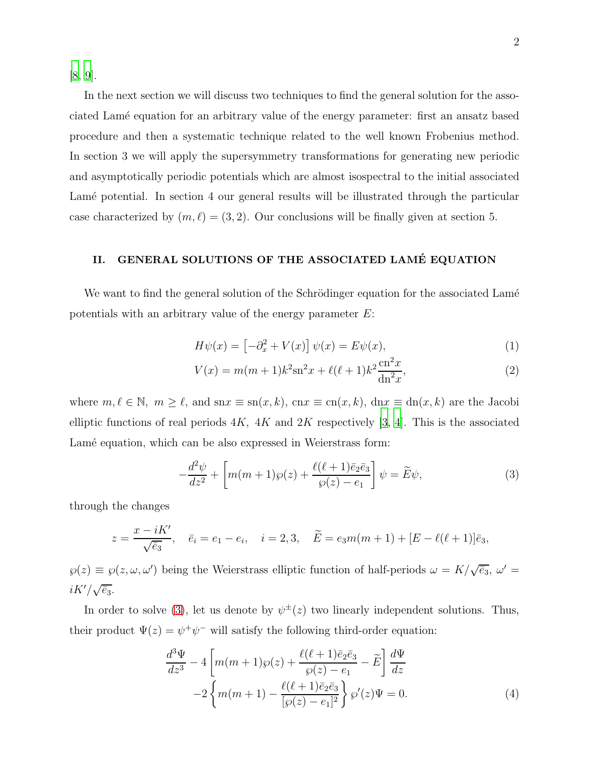[\[8](#page-11-7), [9](#page-11-8)].

In the next section we will discuss two techniques to find the general solution for the associated Lam´e equation for an arbitrary value of the energy parameter: first an ansatz based procedure and then a systematic technique related to the well known Frobenius method. In section 3 we will apply the supersymmetry transformations for generating new periodic and asymptotically periodic potentials which are almost isospectral to the initial associated Lamé potential. In section 4 our general results will be illustrated through the particular case characterized by  $(m, \ell) = (3, 2)$ . Our conclusions will be finally given at section 5.

# II. GENERAL SOLUTIONS OF THE ASSOCIATED LAMÉ EQUATION

We want to find the general solution of the Schrödinger equation for the associated Lamé potentials with an arbitrary value of the energy parameter E:

$$
H\psi(x) = \left[-\partial_x^2 + V(x)\right]\psi(x) = E\psi(x),\tag{1}
$$

$$
V(x) = m(m+1)k^{2}sn^{2}x + \ell(\ell+1)k^{2}\frac{cn^{2}x}{dn^{2}x},
$$
\n(2)

where  $m, \ell \in \mathbb{N}$ ,  $m \geq \ell$ , and  $snx \equiv sn(x, k)$ ,  $cnx \equiv cn(x, k)$ ,  $dnx \equiv dn(x, k)$  are the Jacobi elliptic functions of real periods  $4K$ ,  $4K$  and  $2K$  respectively [\[3,](#page-11-2) [4\]](#page-11-3). This is the associated Lamé equation, which can be also expressed in Weierstrass form:

<span id="page-1-0"></span>
$$
-\frac{d^2\psi}{dz^2} + \left[m(m+1)\wp(z) + \frac{\ell(\ell+1)\bar{e}_2\bar{e}_3}{\wp(z) - e_1}\right]\psi = \widetilde{E}\psi,
$$
\n(3)

through the changes

$$
z = \frac{x - iK'}{\sqrt{\bar{e}_3}}, \quad \bar{e}_i = e_1 - e_i, \quad i = 2, 3, \quad \widetilde{E} = e_3 m(m+1) + [E - \ell(\ell+1)]\bar{e}_3,
$$

 $\wp(z) \equiv \wp(z, \omega, \omega')$  being the Weierstrass elliptic function of half-periods  $\omega = K/\sqrt{\bar{e}_3}$ ,  $\omega' =$  $iK'/\sqrt{\bar{e}_3}$ .

In order to solve [\(3\)](#page-1-0), let us denote by  $\psi^{\pm}(z)$  two linearly independent solutions. Thus, their product  $\Psi(z) = \psi^+ \psi^-$  will satisfy the following third-order equation:

<span id="page-1-1"></span>
$$
\frac{d^3\Psi}{dz^3} - 4\left[m(m+1)\wp(z) + \frac{\ell(\ell+1)\bar{e}_2\bar{e}_3}{\wp(z) - e_1} - \tilde{E}\right]\frac{d\Psi}{dz}
$$

$$
-2\left\{m(m+1) - \frac{\ell(\ell+1)\bar{e}_2\bar{e}_3}{[\wp(z) - e_1]^2}\right\}\wp'(z)\Psi = 0.
$$
(4)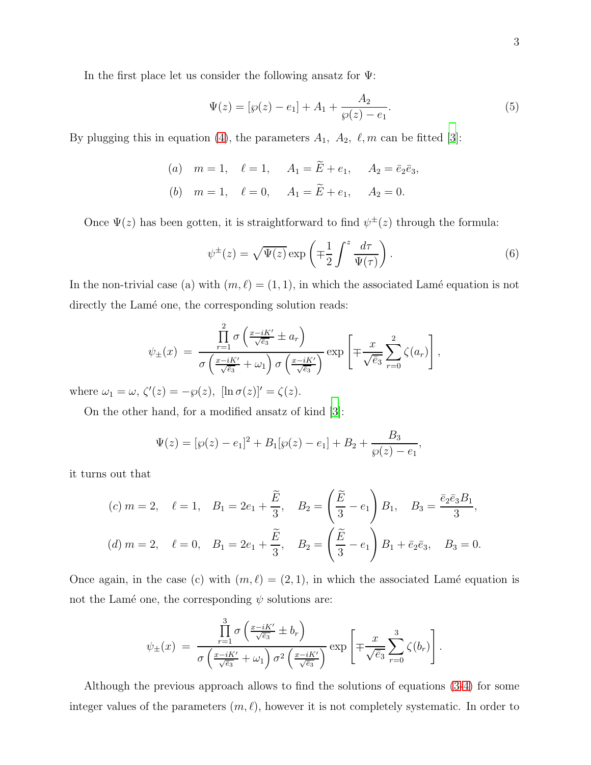In the first place let us consider the following ansatz for  $\Psi$ :

$$
\Psi(z) = [\wp(z) - e_1] + A_1 + \frac{A_2}{\wp(z) - e_1}.\tag{5}
$$

By plugging this in equation [\(4\)](#page-1-1), the parameters  $A_1$ ,  $A_2$ ,  $\ell$ ,  $m$  can be fitted [\[3](#page-11-2)]:

(a) 
$$
m = 1
$$
,  $\ell = 1$ ,  $A_1 = \tilde{E} + e_1$ ,  $A_2 = \bar{e}_2 \bar{e}_3$ ,  
\n(b)  $m = 1$ ,  $\ell = 0$ ,  $A_1 = \tilde{E} + e_1$ ,  $A_2 = 0$ .

Once  $\Psi(z)$  has been gotten, it is straightforward to find  $\psi^{\pm}(z)$  through the formula:

<span id="page-2-0"></span>
$$
\psi^{\pm}(z) = \sqrt{\Psi(z)} \exp\left(\mp\frac{1}{2}\int^{z} \frac{d\tau}{\Psi(\tau)}\right). \tag{6}
$$

In the non-trivial case (a) with  $(m, \ell) = (1, 1)$ , in which the associated Lamé equation is not directly the Lamé one, the corresponding solution reads:

$$
\psi_{\pm}(x) = \frac{\prod_{r=1}^{2} \sigma\left(\frac{x-iK'}{\sqrt{e_3}} \pm a_r\right)}{\sigma\left(\frac{x-iK'}{\sqrt{e_3}} + \omega_1\right) \sigma\left(\frac{x-iK'}{\sqrt{e_3}}\right)} \exp\left[\mp \frac{x}{\sqrt{e_3}} \sum_{r=0}^{2} \zeta(a_r)\right],
$$

where  $\omega_1 = \omega$ ,  $\zeta'(z) = -\wp(z)$ ,  $[\ln \sigma(z)]' = \zeta(z)$ .

On the other hand, for a modified ansatz of kind [\[3](#page-11-2)]:

$$
\Psi(z) = [\wp(z) - e_1]^2 + B_1[\wp(z) - e_1] + B_2 + \frac{B_3}{\wp(z) - e_1},
$$

it turns out that

$$
(c) \ m = 2, \quad \ell = 1, \quad B_1 = 2e_1 + \frac{\widetilde{E}}{3}, \quad B_2 = \left(\frac{\widetilde{E}}{3} - e_1\right)B_1, \quad B_3 = \frac{\overline{e}_2\overline{e}_3B_1}{3},
$$

$$
(d) \ m = 2, \quad \ell = 0, \quad B_1 = 2e_1 + \frac{\widetilde{E}}{3}, \quad B_2 = \left(\frac{\widetilde{E}}{3} - e_1\right)B_1 + \overline{e}_2\overline{e}_3, \quad B_3 = 0.
$$

Once again, in the case (c) with  $(m, \ell) = (2, 1)$ , in which the associated Lamé equation is not the Lamé one, the corresponding  $\psi$  solutions are:

$$
\psi_{\pm}(x) = \frac{\prod_{r=1}^{3} \sigma\left(\frac{x-iK'}{\sqrt{e_3}} \pm b_r\right)}{\sigma\left(\frac{x-iK'}{\sqrt{e_3}} + \omega_1\right) \sigma^2\left(\frac{x-iK'}{\sqrt{e_3}}\right)} \exp\left[\mp \frac{x}{\sqrt{e_3}} \sum_{r=0}^{3} \zeta(b_r)\right].
$$

Although the previous approach allows to find the solutions of equations [\(3](#page-1-0)[-4\)](#page-1-1) for some integer values of the parameters  $(m, \ell)$ , however it is not completely systematic. In order to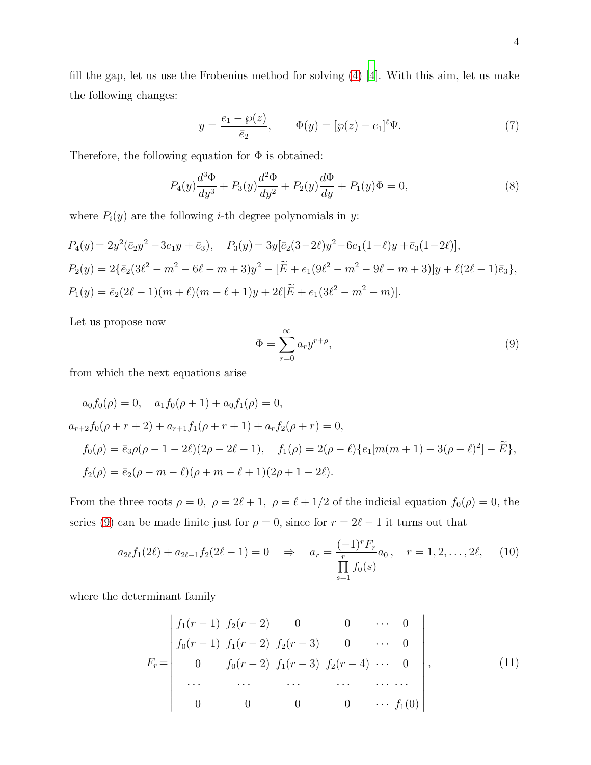fill the gap, let us use the Frobenius method for solving [\(4\)](#page-1-1) [\[4\]](#page-11-3). With this aim, let us make the following changes:

<span id="page-3-2"></span>
$$
y = \frac{e_1 - \wp(z)}{\bar{e}_2}, \qquad \Phi(y) = [\wp(z) - e_1]^{\ell} \Psi.
$$
 (7)

Therefore, the following equation for  $\Phi$  is obtained:

$$
P_4(y)\frac{d^3\Phi}{dy^3} + P_3(y)\frac{d^2\Phi}{dy^2} + P_2(y)\frac{d\Phi}{dy} + P_1(y)\Phi = 0,
$$
\n(8)

where  $P_i(y)$  are the following *i*-th degree polynomials in *y*:

$$
P_4(y) = 2y^2(\bar{e}_2y^2 - 3e_1y + \bar{e}_3), \quad P_3(y) = 3y[\bar{e}_2(3 - 2\ell)y^2 - 6e_1(1 - \ell)y + \bar{e}_3(1 - 2\ell)],
$$
  
\n
$$
P_2(y) = 2\{\bar{e}_2(3\ell^2 - m^2 - 6\ell - m + 3)y^2 - [\tilde{E} + e_1(9\ell^2 - m^2 - 9\ell - m + 3)]y + \ell(2\ell - 1)\bar{e}_3\},
$$
  
\n
$$
P_1(y) = \bar{e}_2(2\ell - 1)(m + \ell)(m - \ell + 1)y + 2\ell[\tilde{E} + e_1(3\ell^2 - m^2 - m)].
$$

Let us propose now

<span id="page-3-0"></span>
$$
\Phi = \sum_{r=0}^{\infty} a_r y^{r+\rho},\tag{9}
$$

from which the next equations arise

$$
a_0 f_0(\rho) = 0, \quad a_1 f_0(\rho + 1) + a_0 f_1(\rho) = 0,
$$
  
\n
$$
a_{r+2} f_0(\rho + r + 2) + a_{r+1} f_1(\rho + r + 1) + a_r f_2(\rho + r) = 0,
$$
  
\n
$$
f_0(\rho) = \bar{e}_3 \rho(\rho - 1 - 2\ell)(2\rho - 2\ell - 1), \quad f_1(\rho) = 2(\rho - \ell) \{e_1[m(m+1) - 3(\rho - \ell)^2] - \tilde{E}\},
$$
  
\n
$$
f_2(\rho) = \bar{e}_2(\rho - m - \ell)(\rho + m - \ell + 1)(2\rho + 1 - 2\ell).
$$

From the three roots  $\rho = 0$ ,  $\rho = 2\ell + 1$ ,  $\rho = \ell + 1/2$  of the indicial equation  $f_0(\rho) = 0$ , the series [\(9\)](#page-3-0) can be made finite just for  $\rho = 0$ , since for  $r = 2\ell - 1$  it turns out that

<span id="page-3-1"></span>
$$
a_{2\ell}f_1(2\ell) + a_{2\ell-1}f_2(2\ell-1) = 0 \quad \Rightarrow \quad a_r = \frac{(-1)^r F_r}{\prod\limits_{s=1}^r f_0(s)}, \quad r = 1, 2, \dots, 2\ell, \quad (10)
$$

where the determinant family

<span id="page-3-3"></span>
$$
F_r = \begin{vmatrix} f_1(r-1) & f_2(r-2) & 0 & 0 & \cdots & 0 \\ f_0(r-1) & f_1(r-2) & f_2(r-3) & 0 & \cdots & 0 \\ 0 & f_0(r-2) & f_1(r-3) & f_2(r-4) & \cdots & 0 \\ \vdots & \vdots & \vdots & \ddots & \vdots & \vdots \\ 0 & 0 & 0 & 0 & \cdots & f_1(0) \end{vmatrix}, \qquad (11)
$$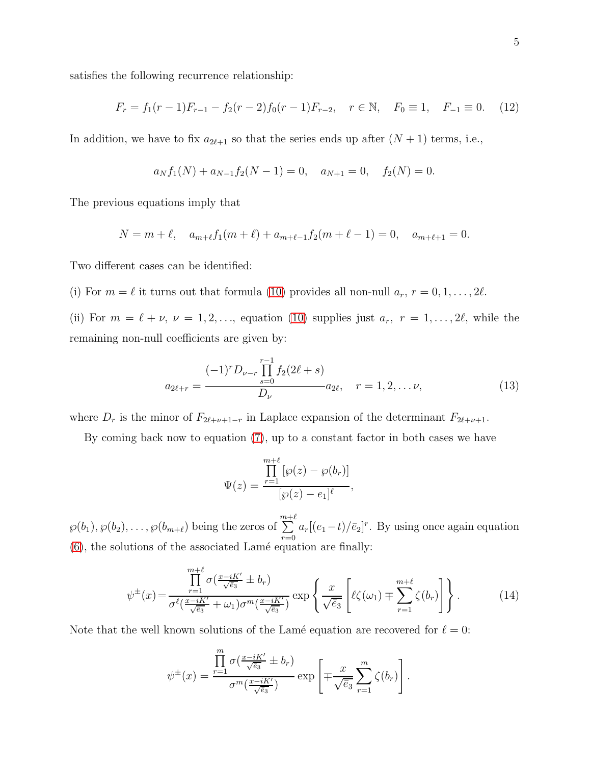satisfies the following recurrence relationship:

<span id="page-4-2"></span>
$$
F_r = f_1(r-1)F_{r-1} - f_2(r-2)f_0(r-1)F_{r-2}, \quad r \in \mathbb{N}, \quad F_0 \equiv 1, \quad F_{-1} \equiv 0. \tag{12}
$$

In addition, we have to fix  $a_{2\ell+1}$  so that the series ends up after  $(N+1)$  terms, i.e.,

$$
a_N f_1(N) + a_{N-1} f_2(N-1) = 0, \quad a_{N+1} = 0, \quad f_2(N) = 0.
$$

The previous equations imply that

$$
N = m + \ell, \quad a_{m+\ell}f_1(m+\ell) + a_{m+\ell-1}f_2(m+\ell-1) = 0, \quad a_{m+\ell+1} = 0.
$$

Two different cases can be identified:

(i) For  $m = \ell$  it turns out that formula [\(10\)](#page-3-1) provides all non-null  $a_r$ ,  $r = 0, 1, \ldots, 2\ell$ .

(ii) For  $m = \ell + \nu$ ,  $\nu = 1, 2, \ldots$ , equation [\(10\)](#page-3-1) supplies just  $a_r$ ,  $r = 1, \ldots, 2\ell$ , while the remaining non-null coefficients are given by:

<span id="page-4-1"></span>
$$
a_{2\ell+r} = \frac{(-1)^r D_{\nu-r} \prod_{s=0}^{r-1} f_2(2\ell+s)}{D_{\nu}} a_{2\ell}, \quad r = 1, 2, \dots \nu,
$$
 (13)

where  $D_r$  is the minor of  $F_{2\ell+\nu+1-r}$  in Laplace expansion of the determinant  $F_{2\ell+\nu+1}$ .

By coming back now to equation [\(7\)](#page-3-2), up to a constant factor in both cases we have

$$
\Psi(z) = \frac{\prod_{r=1}^{m+\ell} [\wp(z) - \wp(b_r)]}{[\wp(z) - e_1]^{\ell}},
$$

 $\wp(b_1), \wp(b_2), \ldots, \wp(b_{m+\ell})$  being the zeros of  $\sum^{m+\ell}$  $\sum_{r=0} a_r[(e_1-t)/\bar{e}_2]^r$ . By using once again equation  $(6)$ , the solutions of the associated Lamé equation are finally:

<span id="page-4-0"></span>
$$
\psi^{\pm}(x) = \frac{\prod_{r=1}^{m+\ell} \sigma(\frac{x-iK'}{\sqrt{\bar{e}_3}} \pm b_r)}{\sigma^{\ell}(\frac{x-iK'}{\sqrt{\bar{e}_3}} + \omega_1)\sigma^m(\frac{x-iK'}{\sqrt{\bar{e}_3}})} \exp\left\{\frac{x}{\sqrt{\bar{e}_3}} \left[\ell\zeta(\omega_1) \mp \sum_{r=1}^{m+\ell} \zeta(b_r)\right] \right\}.
$$
(14)

Note that the well known solutions of the Lamé equation are recovered for  $\ell = 0$ :

$$
\psi^{\pm}(x) = \frac{\prod_{r=1}^{m} \sigma(\frac{x-iK'}{\sqrt{\overline{e}_3}} \pm b_r)}{\sigma^m(\frac{x-iK'}{\sqrt{\overline{e}_3}})} \exp\left[\mp \frac{x}{\sqrt{\overline{e}_3}} \sum_{r=1}^{m} \zeta(b_r)\right].
$$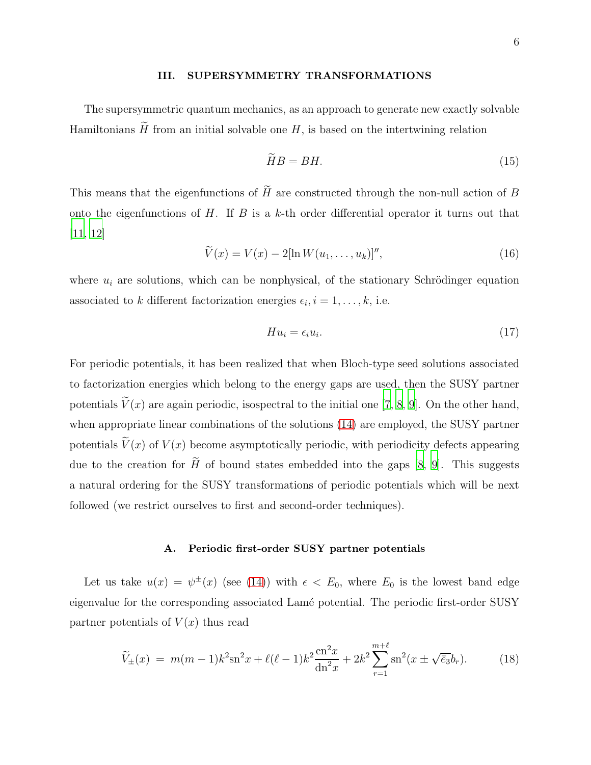#### III. SUPERSYMMETRY TRANSFORMATIONS

The supersymmetric quantum mechanics, as an approach to generate new exactly solvable Hamiltonians  $\widetilde{H}$  from an initial solvable one H, is based on the intertwining relation

$$
\widetilde{H}B = BH. \tag{15}
$$

This means that the eigenfunctions of  $\widetilde{H}$  are constructed through the non-null action of B onto the eigenfunctions of H. If B is a k-th order differential operator it turns out that [\[11](#page-11-10), [12\]](#page-11-11)

$$
\widetilde{V}(x) = V(x) - 2[\ln W(u_1, ..., u_k)]'',
$$
\n(16)

where  $u_i$  are solutions, which can be nonphysical, of the stationary Schrödinger equation associated to k different factorization energies  $\epsilon_i$ ,  $i = 1, \ldots, k$ , i.e.

$$
Hu_i = \epsilon_i u_i. \tag{17}
$$

For periodic potentials, it has been realized that when Bloch-type seed solutions associated to factorization energies which belong to the energy gaps are used, then the SUSY partner potentials  $\tilde{V}(x)$  are again periodic, isospectral to the initial one [\[7,](#page-11-6) [8](#page-11-7), [9\]](#page-11-8). On the other hand, when appropriate linear combinations of the solutions [\(14\)](#page-4-0) are employed, the SUSY partner potentials  $V(x)$  of  $V(x)$  become asymptotically periodic, with periodicity defects appearing due to the creation for  $\widetilde{H}$  of bound states embedded into the gaps [\[8,](#page-11-7) [9](#page-11-8)]. This suggests a natural ordering for the SUSY transformations of periodic potentials which will be next followed (we restrict ourselves to first and second-order techniques).

## A. Periodic first-order SUSY partner potentials

Let us take  $u(x) = \psi^{\pm}(x)$  (see [\(14\)](#page-4-0)) with  $\epsilon < E_0$ , where  $E_0$  is the lowest band edge eigenvalue for the corresponding associated Lamé potential. The periodic first-order SUSY partner potentials of  $V(x)$  thus read

<span id="page-5-0"></span>
$$
\widetilde{V}_{\pm}(x) = m(m-1)k^2 \operatorname{sn}^2 x + \ell(\ell-1)k^2 \frac{\operatorname{cn}^2 x}{\operatorname{dn}^2 x} + 2k^2 \sum_{r=1}^{m+\ell} \operatorname{sn}^2(x \pm \sqrt{\overline{e}_3} b_r). \tag{18}
$$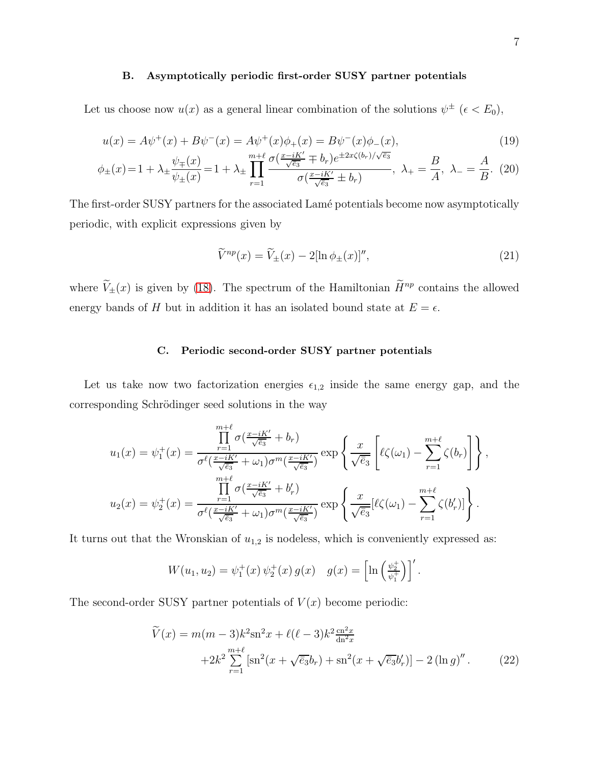#### B. Asymptotically periodic first-order SUSY partner potentials

Let us choose now  $u(x)$  as a general linear combination of the solutions  $\psi^{\pm}$  ( $\epsilon < E_0$ ),

<span id="page-6-1"></span>
$$
u(x) = A\psi^{+}(x) + B\psi^{-}(x) = A\psi^{+}(x)\phi_{+}(x) = B\psi^{-}(x)\phi_{-}(x),
$$
\n
$$
u(x) = A\psi^{+}(x) + B\psi^{-}(x) = A\psi^{-}(x) + B\psi^{-}(x)\phi_{-}(x),
$$
\n
$$
u(x) = A\psi^{+}(x) + B\psi^{-}(x) = A\psi^{-}(x) + B\psi^{-}(x)\phi_{-}(x),
$$
\n
$$
u(x) = A\psi^{-}(x) + B\psi^{-}(x) = A\psi^{-}(x) + B\psi^{-}(x)\phi_{-}(x),
$$
\n
$$
u(x) = A\psi^{-}(x) + B\psi^{-}(x) = A\psi^{-}(x) + B\psi^{-}(x) = A\psi^{-}(x) + B\psi^{-}(x) = A\psi^{-}(x) + B\psi^{-}(x) = A\psi^{-}(x) + B\psi^{-}(x) = A\psi^{-}(x) + B\psi^{-}(x) = A\psi^{-}(x) + B\psi^{-}(x) = A\psi^{-}(x) + B\psi^{-}(x) = A\psi^{-}(x) + B\psi^{-}(x) = A\psi^{-}(x) + B\psi^{-}(x) = A\psi^{-}(x) + B\psi^{-}(x) = A\psi^{-}(x) + B\psi^{-}(x) = A\psi^{-}(x) + B\psi^{-}(x) = A\psi^{-}(x) + B\psi^{-}(x) = A\psi^{-}(x) + B\psi^{-}(x) = A\psi^{-}(x) + B\psi^{-}(x) = A\psi^{-}(x) + B\psi^{-}(x) = A\psi^{-}(x) + B\psi^{-}(x) = A\psi^{-}(x) + B\psi^{-}(x) = A\psi^{-}(x) + B\psi^{-}(x) = A\psi^{-}(x) + B\psi^{-}(x) = A\psi^{-}(x) + B\psi^{-}(x) = A\psi^{-}(x) + B\psi^{-}(x) = A\psi^{-}(x) + B\psi^{-}(x) = A\psi^{-}(x) + B\psi^{-}(x) = A\psi^{-}(x) + B\psi^{-}(x) = A\psi^{-}(x) + B\psi^{-}(x) = A\psi^{-}(x) + B\psi^{-}(x) = A\psi^{-}(x) + B\psi^{-}(x) = A\psi^{-}(x) + B\psi^{-}(x) = A\psi^{-}(x) + B\psi^{-}(x) = A\psi^{-}(x) + B\psi^{-}(x) = A\psi^{-}(x) + B\psi^{-}(x) = A\psi^{-}(x) + B\psi^{-}(
$$

$$
\phi_{\pm}(x) = 1 + \lambda_{\pm} \frac{\psi_{\mp}(x)}{\psi_{\pm}(x)} = 1 + \lambda_{\pm} \prod_{r=1}^{m+\ell} \frac{\sigma(\frac{x - iK'}{\sqrt{\bar{e}_3}} \mp b_r) e^{\pm 2x\zeta(b_r)/\sqrt{\bar{e}_3}}}{\sigma(\frac{x - iK'}{\sqrt{\bar{e}_3}} \pm b_r)}, \ \lambda_{+} = \frac{B}{A}, \ \lambda_{-} = \frac{A}{B}.
$$
 (20)

The first-order SUSY partners for the associated Lamé potentials become now asymptotically periodic, with explicit expressions given by

<span id="page-6-2"></span>
$$
\widetilde{V}^{np}(x) = \widetilde{V}_{\pm}(x) - 2[\ln \phi_{\pm}(x)]'',\tag{21}
$$

where  $\widetilde{V}_{\pm}(x)$  is given by [\(18\)](#page-5-0). The spectrum of the Hamiltonian  $\widetilde{H}^{np}$  contains the allowed energy bands of H but in addition it has an isolated bound state at  $E = \epsilon$ .

#### C. Periodic second-order SUSY partner potentials

Let us take now two factorization energies  $\epsilon_{1,2}$  inside the same energy gap, and the corresponding Schrödinger seed solutions in the way

$$
u_1(x) = \psi_1^+(x) = \frac{\prod_{r=1}^{m+\ell} \sigma(\frac{x-iK'}{\sqrt{\overline{e}_3}} + b_r)}{\sigma^{\ell}(\frac{x-iK'}{\sqrt{\overline{e}_3}} + \omega_1)\sigma^m(\frac{x-iK'}{\sqrt{\overline{e}_3}})} \exp\left\{\frac{x}{\sqrt{\overline{e}_3}} \left[\ell\zeta(\omega_1) - \sum_{r=1}^{m+\ell} \zeta(b_r)\right] \right\},
$$
  

$$
u_2(x) = \psi_2^+(x) = \frac{\prod_{r=1}^{m+\ell} \sigma(\frac{x-iK'}{\sqrt{\overline{e}_3}} + b'_r)}{\sigma^{\ell}(\frac{x-iK'}{\sqrt{\overline{e}_3}} + \omega_1)\sigma^m(\frac{x-iK'}{\sqrt{\overline{e}_3}})} \exp\left\{\frac{x}{\sqrt{\overline{e}_3}} [\ell\zeta(\omega_1) - \sum_{r=1}^{m+\ell} \zeta(b'_r)]\right\}.
$$

It turns out that the Wronskian of  $u_{1,2}$  is nodeless, which is conveniently expressed as:

$$
W(u_1, u_2) = \psi_1^+(x) \psi_2^+(x) g(x) \quad g(x) = \left[ \ln \left( \frac{\psi_2^+}{\psi_1^+} \right) \right]'.
$$

The second-order SUSY partner potentials of  $V(x)$  become periodic:

<span id="page-6-0"></span>
$$
\widetilde{V}(x) = m(m-3)k^2 \operatorname{sn}^2 x + \ell(\ell-3)k^2 \frac{\operatorname{cn}^2 x}{\operatorname{dn}^2 x} \n+2k^2 \sum_{r=1}^{m+\ell} \left[ \operatorname{sn}^2(x + \sqrt{\overline{e}_3} b_r) + \operatorname{sn}^2(x + \sqrt{\overline{e}_3} b_r') \right] - 2 \left( \ln g \right)''.
$$
\n(22)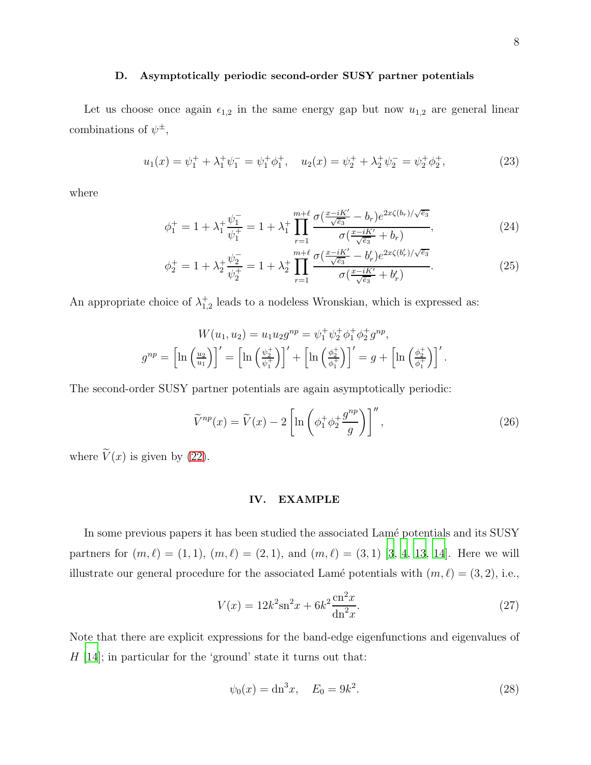#### D. Asymptotically periodic second-order SUSY partner potentials

Let us choose once again  $\epsilon_{1,2}$  in the same energy gap but now  $u_{1,2}$  are general linear combinations of  $\psi^{\pm}$ ,

<span id="page-7-0"></span>
$$
u_1(x) = \psi_1^+ + \lambda_1^+ \psi_1^- = \psi_1^+ \phi_1^+, \quad u_2(x) = \psi_2^+ + \lambda_2^+ \psi_2^- = \psi_2^+ \phi_2^+, \tag{23}
$$

where

$$
\phi_1^+ = 1 + \lambda_1^+ \frac{\psi_1^-}{\psi_1^+} = 1 + \lambda_1^+ \prod_{r=1}^{m+\ell} \frac{\sigma(\frac{x - iK'}{\sqrt{\bar{e}_3}} - b_r) e^{2x\zeta(b_r)/\sqrt{\bar{e}_3}}}{\sigma(\frac{x - iK'}{\sqrt{\bar{e}_3}} + b_r)},\tag{24}
$$

$$
\phi_2^+ = 1 + \lambda_2^+ \frac{\psi_2^-}{\psi_2^+} = 1 + \lambda_2^+ \prod_{r=1}^{m+\ell} \frac{\sigma(\frac{x-iK'}{\sqrt{\bar{e}_3}} - b'_r) e^{2x\zeta(b'_r)/\sqrt{\bar{e}_3}}}{\sigma(\frac{x-iK'}{\sqrt{\bar{e}_3}} + b'_r)}.
$$
(25)

An appropriate choice of  $\lambda_{1,2}^+$  leads to a nodeless Wronskian, which is expressed as:

$$
W(u_1, u_2) = u_1 u_2 g^{np} = \psi_1^+ \psi_2^+ \phi_1^+ \phi_2^+ g^{np},
$$

$$
g^{np} = \left[ \ln \left( \frac{u_2}{u_1} \right) \right]' = \left[ \ln \left( \frac{\psi_2^+}{\psi_1^+} \right) \right]' + \left[ \ln \left( \frac{\phi_2^+}{\phi_1^+} \right) \right]' = g + \left[ \ln \left( \frac{\phi_2^+}{\phi_1^+} \right) \right]'.
$$

The second-order SUSY partner potentials are again asymptotically periodic:

<span id="page-7-1"></span>
$$
\widetilde{V}^{np}(x) = \widetilde{V}(x) - 2\left[\ln\left(\phi_1^+ \phi_2^+ \frac{g^{np}}{g}\right)\right]''\,,\tag{26}
$$

where  $\tilde{V}(x)$  is given by [\(22\)](#page-6-0).

## IV. EXAMPLE

In some previous papers it has been studied the associated Lamé potentials and its SUSY partners for  $(m, \ell) = (1, 1), (m, \ell) = (2, 1),$  and  $(m, \ell) = (3, 1)$  [\[3](#page-11-2), [4](#page-11-3), [13,](#page-11-12) [14](#page-11-13)]. Here we will illustrate our general procedure for the associated Lamé potentials with  $(m, \ell) = (3, 2)$ , i.e.,

$$
V(x) = 12k^2 \text{sn}^2 x + 6k^2 \frac{\text{cn}^2 x}{\text{dn}^2 x}.
$$
 (27)

Note that there are explicit expressions for the band-edge eigenfunctions and eigenvalues of  $H$  [\[14\]](#page-11-13); in particular for the 'ground' state it turns out that:

$$
\psi_0(x) = \mathrm{dn}^3 x, \quad E_0 = 9k^2. \tag{28}
$$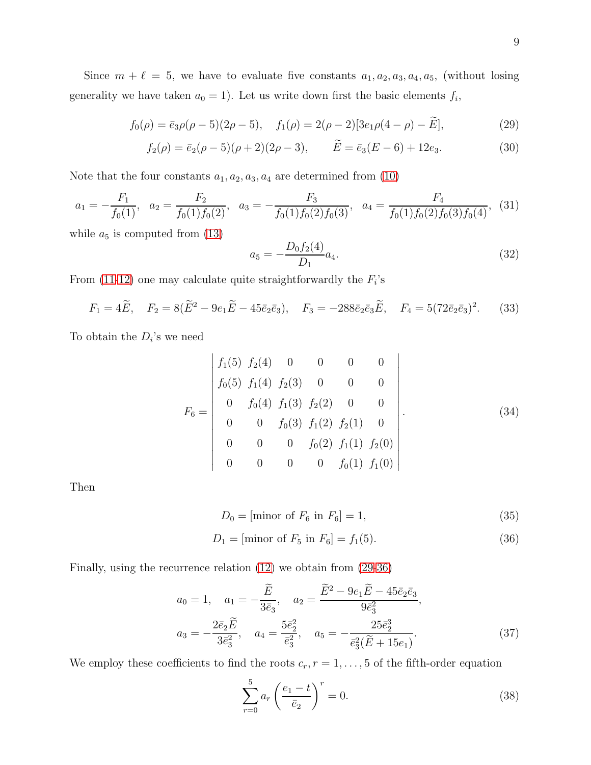Since  $m + \ell = 5$ , we have to evaluate five constants  $a_1, a_2, a_3, a_4, a_5$ , (without losing generality we have taken  $a_0 = 1$ ). Let us write down first the basic elements  $f_i$ ,

<span id="page-8-0"></span>
$$
f_0(\rho) = \bar{e}_3 \rho(\rho - 5)(2\rho - 5), \quad f_1(\rho) = 2(\rho - 2)[3e_1\rho(4 - \rho) - \tilde{E}], \tag{29}
$$

$$
f_2(\rho) = \bar{e}_2(\rho - 5)(\rho + 2)(2\rho - 3), \qquad \bar{E} = \bar{e}_3(E - 6) + 12e_3.
$$
 (30)

Note that the four constants  $a_1, a_2, a_3, a_4$  are determined from  $(10)$ 

$$
a_1 = -\frac{F_1}{f_0(1)}, \quad a_2 = \frac{F_2}{f_0(1)f_0(2)}, \quad a_3 = -\frac{F_3}{f_0(1)f_0(2)f_0(3)}, \quad a_4 = \frac{F_4}{f_0(1)f_0(2)f_0(3)f_0(4)}, \quad (31)
$$

while  $a_5$  is computed from  $(13)$ 

$$
a_5 = -\frac{D_0 f_2(4)}{D_1} a_4.
$$
\n(32)

From  $(11-12)$  $(11-12)$  one may calculate quite straightforwardly the  $F_i$ 's

$$
F_1 = 4\tilde{E}, \quad F_2 = 8(\tilde{E}^2 - 9e_1\tilde{E} - 45\bar{e}_2\bar{e}_3), \quad F_3 = -288\bar{e}_2\bar{e}_3\tilde{E}, \quad F_4 = 5(72\bar{e}_2\bar{e}_3)^2.
$$
 (33)

To obtain the  $D_i$ 's we need

$$
F_6 = \begin{vmatrix} f_1(5) & f_2(4) & 0 & 0 & 0 & 0 \\ f_0(5) & f_1(4) & f_2(3) & 0 & 0 & 0 \\ 0 & f_0(4) & f_1(3) & f_2(2) & 0 & 0 \\ 0 & 0 & f_0(3) & f_1(2) & f_2(1) & 0 \\ 0 & 0 & 0 & f_0(2) & f_1(1) & f_2(0) \\ 0 & 0 & 0 & 0 & f_0(1) & f_1(0) \end{vmatrix}.
$$
 (34)

Then

<span id="page-8-1"></span>
$$
D_0 = [\text{minor of } F_6 \text{ in } F_6] = 1,\tag{35}
$$

$$
D_1 = [\text{minor of } F_5 \text{ in } F_6] = f_1(5). \tag{36}
$$

Finally, using the recurrence relation [\(12\)](#page-4-2) we obtain from [\(29-](#page-8-0)[36\)](#page-8-1)

$$
a_0 = 1, \quad a_1 = -\frac{\tilde{E}}{3\bar{e}_3}, \quad a_2 = \frac{\tilde{E}^2 - 9e_1\tilde{E} - 45\bar{e}_2\bar{e}_3}{9\bar{e}_3^2},
$$

$$
a_3 = -\frac{2\bar{e}_2\tilde{E}}{3\bar{e}_3^2}, \quad a_4 = \frac{5\bar{e}_2^2}{\bar{e}_3^2}, \quad a_5 = -\frac{25\bar{e}_2^3}{\bar{e}_3^2(\tilde{E} + 15e_1)}.
$$
(37)

We employ these coefficients to find the roots  $c_r$ ,  $r = 1, \ldots, 5$  of the fifth-order equation

$$
\sum_{r=0}^{5} a_r \left(\frac{e_1 - t}{\bar{e}_2}\right)^r = 0.
$$
\n(38)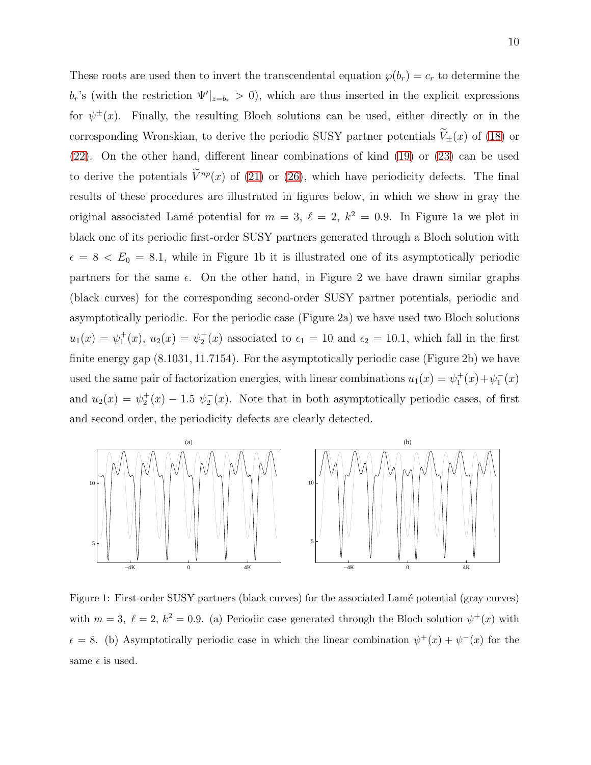These roots are used then to invert the transcendental equation  $\wp(b_r) = c_r$  to determine the  $b_r$ 's (with the restriction  $\Psi'|_{z=b_r} > 0$ ), which are thus inserted in the explicit expressions for  $\psi^{\pm}(x)$ . Finally, the resulting Bloch solutions can be used, either directly or in the corresponding Wronskian, to derive the periodic SUSY partner potentials  $\widetilde{V}_\pm(x)$  of [\(18\)](#page-5-0) or [\(22\)](#page-6-0). On the other hand, different linear combinations of kind [\(19\)](#page-6-1) or [\(23\)](#page-7-0) can be used to derive the potentials  $\tilde{V}^{np}(x)$  of [\(21\)](#page-6-2) or [\(26\)](#page-7-1), which have periodicity defects. The final results of these procedures are illustrated in figures below, in which we show in gray the original associated Lamé potential for  $m = 3$ ,  $\ell = 2$ ,  $k^2 = 0.9$ . In Figure 1a we plot in black one of its periodic first-order SUSY partners generated through a Bloch solution with  $\epsilon = 8 < E_0 = 8.1$ , while in Figure 1b it is illustrated one of its asymptotically periodic partners for the same  $\epsilon$ . On the other hand, in Figure 2 we have drawn similar graphs (black curves) for the corresponding second-order SUSY partner potentials, periodic and asymptotically periodic. For the periodic case (Figure 2a) we have used two Bloch solutions  $u_1(x) = \psi_1^+(x)$ ,  $u_2(x) = \psi_2^+(x)$  associated to  $\epsilon_1 = 10$  and  $\epsilon_2 = 10.1$ , which fall in the first finite energy gap (8.1031, 11.7154). For the asymptotically periodic case (Figure 2b) we have used the same pair of factorization energies, with linear combinations  $u_1(x) = \psi_1^+(x) + \psi_1^-(x)$ and  $u_2(x) = \psi_2^+(x) - 1.5 \psi_2^-(x)$ . Note that in both asymptotically periodic cases, of first and second order, the periodicity defects are clearly detected.



Figure 1: First-order SUSY partners (black curves) for the associated Lamé potential (gray curves) with  $m = 3$ ,  $\ell = 2$ ,  $k^2 = 0.9$ . (a) Periodic case generated through the Bloch solution  $\psi^+(x)$  with  $\epsilon = 8$ . (b) Asymptotically periodic case in which the linear combination  $\psi^+(x) + \psi^-(x)$  for the same  $\epsilon$  is used.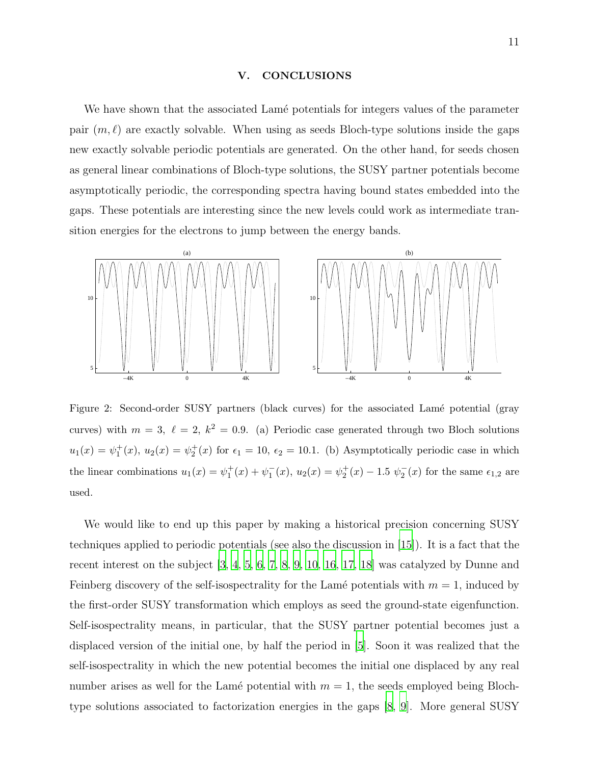#### V. CONCLUSIONS

We have shown that the associated Lamé potentials for integers values of the parameter pair  $(m, \ell)$  are exactly solvable. When using as seeds Bloch-type solutions inside the gaps new exactly solvable periodic potentials are generated. On the other hand, for seeds chosen as general linear combinations of Bloch-type solutions, the SUSY partner potentials become asymptotically periodic, the corresponding spectra having bound states embedded into the gaps. These potentials are interesting since the new levels could work as intermediate transition energies for the electrons to jump between the energy bands.



Figure 2: Second-order SUSY partners (black curves) for the associated Lamé potential (gray curves) with  $m = 3$ ,  $\ell = 2$ ,  $k^2 = 0.9$ . (a) Periodic case generated through two Bloch solutions  $u_1(x) = \psi_1^+(x)$ ,  $u_2(x) = \psi_2^+(x)$  for  $\epsilon_1 = 10$ ,  $\epsilon_2 = 10.1$ . (b) Asymptotically periodic case in which the linear combinations  $u_1(x) = \psi_1^+(x) + \psi_1^-(x)$ ,  $u_2(x) = \psi_2^+(x) - 1.5 \psi_2^-(x)$  for the same  $\epsilon_{1,2}$  are used.

We would like to end up this paper by making a historical precision concerning SUSY techniques applied to periodic potentials (see also the discussion in [\[15\]](#page-11-14)). It is a fact that the recent interest on the subject [\[3,](#page-11-2) [4,](#page-11-3) [5,](#page-11-4) [6](#page-11-5), [7](#page-11-6), [8,](#page-11-7) [9,](#page-11-8) [10,](#page-11-9) [16](#page-12-0), [17,](#page-12-1) [18](#page-12-2)] was catalyzed by Dunne and Feinberg discovery of the self-isospectrality for the Lamé potentials with  $m = 1$ , induced by the first-order SUSY transformation which employs as seed the ground-state eigenfunction. Self-isospectrality means, in particular, that the SUSY partner potential becomes just a displaced version of the initial one, by half the period in [\[5\]](#page-11-4). Soon it was realized that the self-isospectrality in which the new potential becomes the initial one displaced by any real number arises as well for the Lamé potential with  $m = 1$ , the seeds employed being Blochtype solutions associated to factorization energies in the gaps [\[8](#page-11-7), [9](#page-11-8)]. More general SUSY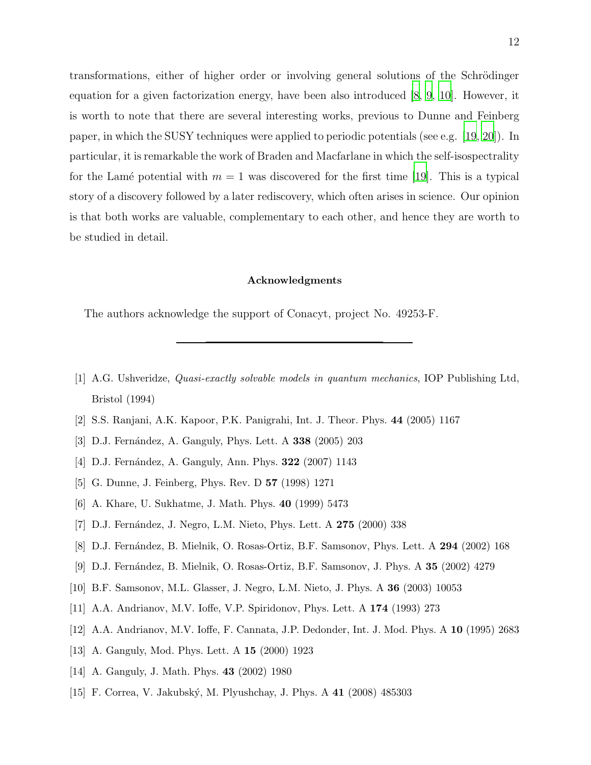transformations, either of higher order or involving general solutions of the Schrödinger equation for a given factorization energy, have been also introduced [\[8,](#page-11-7) [9,](#page-11-8) [10](#page-11-9)]. However, it is worth to note that there are several interesting works, previous to Dunne and Feinberg paper, in which the SUSY techniques were applied to periodic potentials (see e.g. [\[19,](#page-12-3) [20\]](#page-12-4)). In particular, it is remarkable the work of Braden and Macfarlane in which the self-isospectrality for the Lamé potential with  $m = 1$  was discovered for the first time [\[19\]](#page-12-3). This is a typical story of a discovery followed by a later rediscovery, which often arises in science. Our opinion is that both works are valuable, complementary to each other, and hence they are worth to be studied in detail.

#### Acknowledgments

The authors acknowledge the support of Conacyt, project No. 49253-F.

- <span id="page-11-0"></span>[1] A.G. Ushveridze, Quasi-exactly solvable models in quantum mechanics, IOP Publishing Ltd, Bristol (1994)
- <span id="page-11-1"></span>[2] S.S. Ranjani, A.K. Kapoor, P.K. Panigrahi, Int. J. Theor. Phys. 44 (2005) 1167
- <span id="page-11-2"></span>[3] D.J. Fernández, A. Ganguly, Phys. Lett. A 338 (2005) 203
- <span id="page-11-3"></span>[4] D.J. Fernández, A. Ganguly, Ann. Phys. **322** (2007) 1143
- <span id="page-11-4"></span>[5] G. Dunne, J. Feinberg, Phys. Rev. D 57 (1998) 1271
- <span id="page-11-5"></span>[6] A. Khare, U. Sukhatme, J. Math. Phys. 40 (1999) 5473
- <span id="page-11-6"></span>[7] D.J. Fernández, J. Negro, L.M. Nieto, Phys. Lett. A 275 (2000) 338
- <span id="page-11-7"></span>[8] D.J. Fernández, B. Mielnik, O. Rosas-Ortiz, B.F. Samsonov, Phys. Lett. A 294 (2002) 168
- <span id="page-11-8"></span>[9] D.J. Fern´andez, B. Mielnik, O. Rosas-Ortiz, B.F. Samsonov, J. Phys. A 35 (2002) 4279
- <span id="page-11-9"></span>[10] B.F. Samsonov, M.L. Glasser, J. Negro, L.M. Nieto, J. Phys. A 36 (2003) 10053
- <span id="page-11-10"></span>[11] A.A. Andrianov, M.V. Ioffe, V.P. Spiridonov, Phys. Lett. A 174 (1993) 273
- <span id="page-11-11"></span>[12] A.A. Andrianov, M.V. Ioffe, F. Cannata, J.P. Dedonder, Int. J. Mod. Phys. A 10 (1995) 2683
- <span id="page-11-12"></span>[13] A. Ganguly, Mod. Phys. Lett. A 15 (2000) 1923
- <span id="page-11-13"></span>[14] A. Ganguly, J. Math. Phys. 43 (2002) 1980
- <span id="page-11-14"></span>[15] F. Correa, V. Jakubský, M. Plyushchay, J. Phys. A 41 (2008) 485303